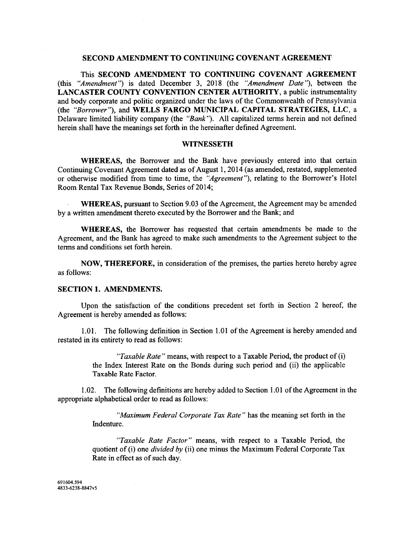### **SECOND AMENDMENT TO CONTINUING COVENANT AGREEMENT**

This **SECOND AMENDMENT TO CONTINUING COVENANT AGREEMENT**  (this "Amendment") is dated December 3, 2018 (the "Amendment Date"), between the **LANCASTER COUNTY CONVENTION CENTER AUTHORITY,** a public instrumentality and body corporate and politic organized under the laws of the Commonwealth of Pennsylvania (the "Borrower"), and **WELLS FARGO MUNICIPAL CAPITAL STRATEGIES, LLC,** a Delaware limited liability company (the "Bank"). All capitalized terms herein and not defined herein shall have the meanings set forth in the hereinafter defined Agreement.

#### **WITNESSETH**

**WHEREAS,** the Borrower and the Bank have previously entered into that certain Continuing Covenant Agreement dated as of August 1,2014 (as amended, restated, supplemented or otherwise modified from time to time, the "Agreement"), relating to the Borrower's Hotel Room Rental Tax Revenue Bonds, Series of 2014;

**WHEREAS,** pursuant to Section 9.03 of the Agreement, the Agreement may be amended by a written amendment thereto executed by the Borrower and the Bank; and

**WHEREAS,** the Borrower has requested that certain amendments be made to the Agreement, and the Bank has agreed to make such amendments to the Agreement subject to the terms and conditions set forth herein.

**NOW, THEREFORE,** in consideration of the premises, the parties hereto hereby agree as follows:

## **SECTION 1. AMENDMENTS.**

Upon the satisfaction of the conditions precedent set forth in Section 2 hereof, the Agreement is hereby amended as follows:

1.01. The following definition in Section 1 .O1 of the Agreement is hereby amended and restated in its entirety to read as follows:

> "Taxable Rate" means, with respect to a Taxable Period, the product of  $(i)$ the Index Interest Rate on the Bonds during such period and (ii) the applicable Taxable Rate Factor.

1.02. The following definitions are hereby added to Section 1 .O1 of the Agreement in the appropriate alphabetical order to read as follows:

> "Maximum Federal Corporate Tax Rate" has the meaning set forth in the Indenture.

> "Taxable Rate Factor" means, with respect to a Taxable Period, the quotient of (i) one *divided by* (ii) one minus the Maximum Federal Corporate Tax Rate in effect as of such day.

691604.594 4833-6238-8847v5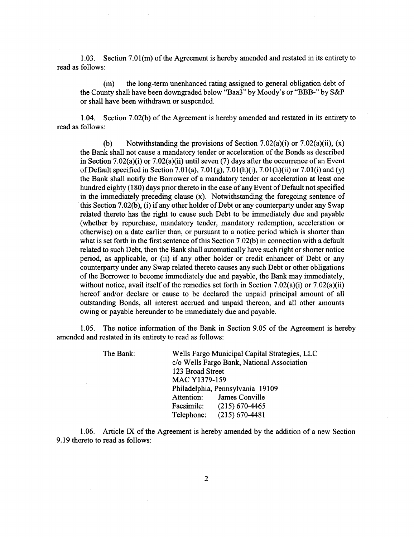1.03. Section 7.01(m) of the Agreement is hereby amended and restated in its entirety to read as follows:

(m) the long-term unenhanced rating assigned to general obligation debt of the County shall have been downgraded below "Baa3" by Moody's or "BBB-" by S&P or shall have been withdrawn or suspended.

1.04. Section 7.02(b) of the Agreement is hereby amended and restated in its entirety to read as follows:

(b) Notwithstanding the provisions of Section 7.02(a)(i) or 7.02(a)(ii),  $(x)$ the Bank shall not cause a mandatory tender or acceleration of the Bonds as described in Section 7.02(a)(i) or 7.02(a)(ii) until seven (7) days after the occurrence of an Event of Default specified in Section 7.01(a), 7.01(g), 7.01(h)(i), 7.01(h)(ii) or 7.01(i) and (y) the Bank shall notify the Borrower of a mandatory tender or acceleration at least one hundred eighty (1 80) days prior thereto in the case of any Event of Default not specified in the immediately preceding clause (x). Notwithstanding the foregoing sentence of this Section 7.02(b), (i) if any other holder of Debt or any counterparty under any Swap related thereto has the right to cause such Debt to be immediately due and payable (whether by repurchase, mandatory tender, mandatory redemption, acceleration or otherwise) on a date earlier than, or pursuant to a notice period which is shorter than what is set forth in the first sentence of this Section 7.02(b) in connection with a default related to such Debt, then the Bank shall automatically have such right or shorter notice period, as applicable, or (ii) if any other holder or credit enhancer of Debt or any counterparty under any Swap related thereto causes any such Debt or other obligations of the Borrower to become immediately due and payable, the Bank may immediately, without notice, avail itself of the remedies set forth in Section 7.02(a)(i) or 7.02(a)(ii) hereof and/or declare or cause to be declared the unpaid principal amount of all outstanding Bonds, all interest accrued and unpaid thereon, and all other amounts owing or payable hereunder to be immediately due and payable.

1.05. The notice information of the Bank in Section 9.05 of the Agreement is hereby amended and restated in its entirety to read as follows:

| The Bank: | Wells Fargo Municipal Capital Strategies, LLC |  |
|-----------|-----------------------------------------------|--|
|           | c/o Wells Fargo Bank, National Association    |  |
|           | 123 Broad Street                              |  |
|           | MAC Y1379-159                                 |  |
|           | Philadelphia, Pennsylvania 19109              |  |
|           | Attention: James Conville                     |  |
|           | Facsimile: (215) 670-4465                     |  |
|           | $(215) 670 - 4481$<br>Telephone:              |  |
|           |                                               |  |

1.06. Article IX of the Agreement is hereby amended by the addition of a new Section 9.19 thereto to read as follows: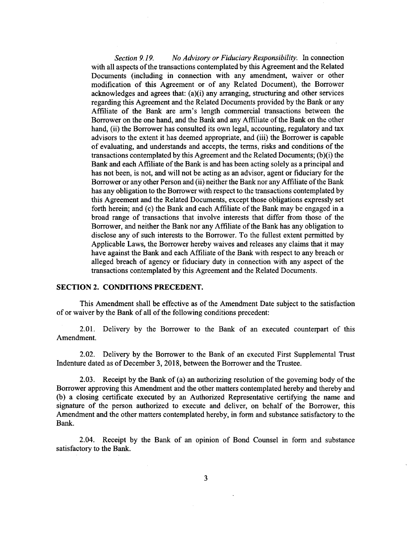*Section 9.19. No Advisory or Fiduciary Responsibility. In* connection with all aspects of the transactions contemplated by this Agreement and the Related Documents (including in connection with any amendment, waiver or other modification of this Agreement or of any Related Document), the Borrower acknowledges and agrees that: (a)(i) any arranging, structuring and other services regarding this Agreement and the Related Documents provided by the Bank or any Affiliate of the Bank are arm's length commercial transactions between the Borrower on the one hand, and the Bank and any Affiliate of the Bank on the other hand, (ii) the Borrower has consulted its own legal, accounting, regulatory and tax advisors to the extent it has deemed appropriate, and (iii) the Borrower is capable of evaluating, and understands and accepts, the terms, risks and conditions of the transactions contemplated by this Agreement and the Related Documents; (b)(i) the Bank and each Affiliate of the Bank is and has been acting solely as a principal and has not been, is not, and will not be acting as an advisor, agent or fiduciary for the Borrower or any other Person and (ii) neither the Bank nor any Affiliate of the Bank has any obligation to the Borrower with respect to the transactions contemplated by this Agreement and the Related Documents, except those obligations expressly set forth herein; and (c) the Bank and each Affiliate of the Bank may be engaged in a broad range of transactions that involve interests that differ from those of the Borrower, and neither the Bank nor any Affiliate of the Bank has any obligation to disclose any of such interests to the Borrower. To the fullest extent permitted by Applicable Laws, the Borrower hereby waives and releases any claims that it may have against the Bank and each Affiliate of the Bank with respect to any breach or alleged breach of agency or fiduciary duty in connection with any aspect of the transactions contemplated by this Agreement and the Related Documents.

### **SECTION 2. CONDITIONS PRECEDENT.**

This Amendment shall be effective as of the Amendment Date subject to the satisfaction of or waiver by the Bank of all of the following conditions precedent:

2.01. Delivery by the Borrower to the Bank of an executed counterpart of this Amendment.

2.02. Delivery by the Borrower to the Bank of an executed First Supplemental Trust Indenture dated as of December 3,2018, between the Borrower and the Trustee.

2.03. Receipt by the Bank of (a) an authorizing resolution of the governing body of the Borrower approving this Amendment and the other matters contemplated hereby and thereby and (b) a closing certificate executed by an Authorized Representative certifying the name and signature of the person authorized to execute and deliver, on behalf of the Borrower, this Amendment and the other matters contemplated hereby, in form and substance satisfactory to the Bank.

2.04. Receipt by the Bank of an opinion of Bond Counsel in form and substance satisfactory to the Bank.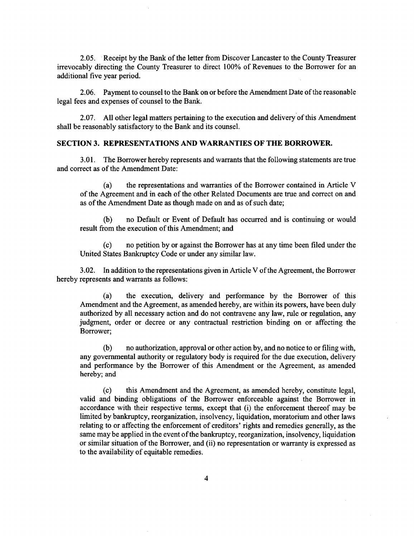2.05. Receipt by the Bank of the letter from Discover Lancaster to the County Treasurer irrevocably directing the County Treasurer to direct 100% of Revenues to the Borrower for an additional five year period.

2.06. Payment to counsel to the Bank on or before the Amendment Date of the reasonable legal fees and expenses of counsel to the Bank.

2.07. All other legal matters pertaining to the execution and delivery'of this Amendment shall be reasonably satisfactory to the Bank and its counsel.

### **SECTION 3. REPRESENTATIONS AND WARRANTIES OF THE BORROWER.**

3.01. The Borrower hereby represents and warrants that the following statements are true and correct as of the Amendment Date:

(a) the representations and warranties of the Borrower contained in Article V of the Agreement and in each of the other Related Documents are true and correct on and as of the Amendment Date as though made on and as of such date;

(b) no Default or Event of Default has occurred and is continuing or would result from the execution of this Amendment; and

(c) no petition by or against the Borrower has at any time been filed under the United States Bankruptcy Code or under any similar law.

3.02. In addition to the representations given in Article V of the Agreement, the Borrower hereby represents and warrants as follows:

(a) the execution, delivery and performance by the Borrower of this Amendment and the Agreement, as amended hereby, are within its powers, have been duly authorized by all necessary action and do not contravene any law, rule or regulation, any judgment, order or decree or any contractual restriction binding on or affecting the Borrower;

(b) no authorization, approval or other action by, and no notice to or filing with, any governmental authority or regulatory body is required for the due execution, delivery and performance by the Borrower of this Amendment or the Agreement, as amended hereby; and

(c) this Amendment and the Agreement, as amended hereby, constitute legal, valid and binding obligations of the Borrower enforceable against the Borrower in accordance with their respective terms, except that (i) the enforcement thereof may be limited by bankruptcy, reorganization, insolvency, liquidation, moratorium and other laws relating to or affecting the enforcement of creditors' rights and remedies generally, as the same may be applied in the event of the bankruptcy, reorganization, insolvency, liquidation or similar situation of the Borrower, and (ii) no representation or warranty is expressed as to the availability of equitable remedies.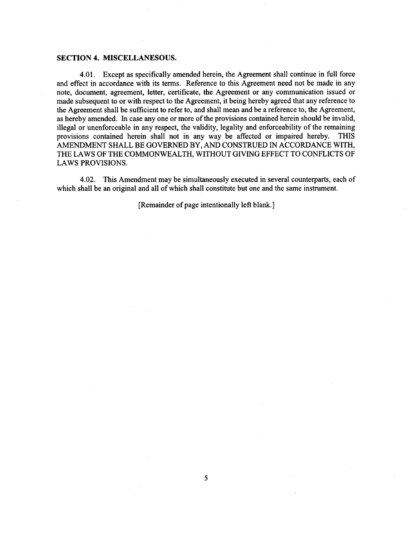#### **SECTION 4. MISCELLANESOUS.**

**4.01.** Except as specifically amended herein, the Agreement shall continue in full force and effect in accordance with its terms. Reference to this Agreement need not be made in any note, document, agreement, letter, certificate, the Agreement or any communication issued or made subsequent to or with respect to the Agreement, it being hereby agreed that any reference to the Agreement shall be sufficient to refer to, and shall mean and be a reference to, the Agreement, as hereby amended. In case any one or more of the provisions contained herein should be invalid, illegal or unenforceable in any respect, the validity, legality and enforceability of the remaining<br>provisions contained herein shall not in any way be affected or impaired hereby. THIS provisions contained herein shall not in any way be affected or impaired hereby. AMENDMENT SHALL BE GOVERNED BY, AND CONSTRUED IN ACCORDANCE WITH, THE LAWS OF THE COMMONWEALTH, WITHOUT GIVING EFFECT TO CONFLICTS OF LAWS PROVISIONS.

**4.02.** This Amendment may be simultaneously executed in several counterparts, each of which shall be an original and all of which shall constitute but one and the same instrument.

[Remainder of page intentionally left blank.]